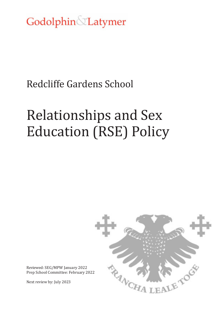Godolphin Latymer

# Redcliffe Gardens School

# Relationships and Sex Education (RSE) Policy



Reviewed: SEG/MPW January 2022 Prep School Committee: February 2022

Next review by: July 2023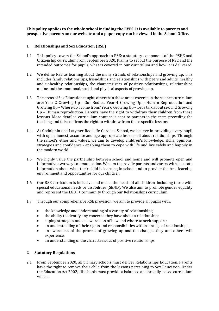**This policy applies to the whole school including the EYFS. It is available to parents and prospective parents on our website and a paper copy can be viewed in the School Office.** 

#### **1 Relationships and Sex Education (RSE)**

- 1.1 This policy covers the School's approach to RSE; a statutory component of the PSHE and Citizenship curriculum from September 2020. It aims to set out the purpose of RSE and the intended outcomes for pupils, what is covered in our curriculum and how it is delivered.
- 1.2 We define RSE as learning about the many strands of relationships and growing up. This includes family relationships, friendships and relationships with peers and adults, healthy and unhealthy relationships, the characteristics of positive relationships, relationships online and the emotional, social and physical aspects of growing up.
- 1.3 The areas of Sex Education taught, other than those areas covered in the science curriculum are; Year 2 Growing Up - Our Bodies. Year 4 Growing Up – Human Reproduction and Growing Up – Where do I come from? Year 6 Growing Up – Let's talk about sex and Growing Up – Human reproduction. Parents have the right to withdraw their children from these lessons. More detailed curriculum content is sent to parents in the term preceding the teaching and this confirms the right to withdraw from these specific lessons.
- 1.4 At Godolphin and Latymer Redcliffe Gardens School, we believe in providing every pupil with open, honest, accurate and age-appropriate lessons all about relationships. Through the school's ethos and values, we aim to develop children's knowledge, skills, opinions, strategies and confidence - enabling them to cope with life and live safely and happily in the modern world.
- 1.5 We highly value the partnership between school and home and will promote open and informative two-way communication. We aim to provide parents and carers with accurate information about what their child is learning in school and to provide the best learning environment and opportunities for our children.
- 1.6 Our RSE curriculum is inclusive and meets the needs of all children, including those with special educational needs or disabilities (SEND). We also aim to promote gender equality and represent the LGBT+ community through our Relationships curriculum.
- 1.7 Through our comprehensive RSE provision, we aim to provide all pupils with:
	- the knowledge and understanding of a variety of relationships;
	- the ability to identify any concerns they have about a relationship;
	- coping strategies and an awareness of how and where to seek support;
	- an understanding of their rights and responsibilities within a range of relationships;
	- an awareness of the process of growing up and the changes they and others will experience;
	- an understanding of the characteristics of positive relationships.

# **2 Statutory Regulations**

2.1 From September 2020, all primary schools must deliver Relationships Education. Parents have the right to remove their child from the lessons pertaining to Sex Education. Under the Education Act 2002, all schools must provide a balanced and broadly-based curriculum which: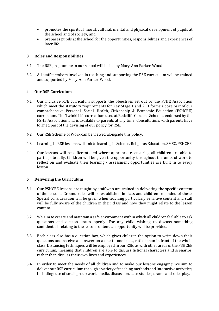- promotes the spiritual, moral, cultural, mental and physical development of pupils at the school and of society, and
- prepares pupils at the school for the opportunities, responsibilities and experiences of later life.

#### **3 Roles and Responsibilities**

- 3.1 The RSE programme in our school will be led by Mary-Ann Parker-Wood
- 3.2 All staff members involved in teaching and supporting the RSE curriculum will be trained and supported by Mary-Ann Parker-Wood.

## **4 Our RSE Curriculum**

- 4.1 Our inclusive RSE curriculum supports the objectives set out by the PSHE Association which meet the statutory requirements for Key Stage 1 and 2. It forms a core part of our comprehensive Personal, Social, Health, Citizenship & Economic Education (PSHCEE) curriculum. The Twinkl Life curriculum used at Redcliffe Gardens School is endorsed by the PSHE Association and is available to parents at any time. Consultations with parents have formed part of the devising of our policy for RSE.
- 4.2 Our RSE Scheme of Work can be viewed alongside this policy.
- 4.3 Learning in RSE lessons will link to learning in Science, Religious Education, SMSC, PSHCEE.
- 4.4 Our lessons will be differentiated where appropriate, ensuring all children are able to participate fully. Children will be given the opportunity throughout the units of work to reflect on and evaluate their learning - assessment opportunities are built in to every lesson.

#### **5 Delivering the Curriculum**

- 5.1 Our PSHCEE lessons are taught by staff who are trained in delivering the specific content of the lessons. Ground rules will be established in class and children reminded of these. Special consideration will be given when teaching particularly sensitive content and staff will be fully aware of the children in their class and how they might relate to the lesson content.
- 5.2 We aim to create and maintain a safe environment within which all children feel able to ask questions and discuss issues openly. For any child wishing to discuss something confidential, relating to the lesson content, an opportunity will be provided.
- 5.3 Each class also has a question box, which gives children the option to write down their questions and receive an answer on a one-to-one basis, rather than in front of the whole class. Distancing techniques will be employed in our RSE, as with other areas of the PSHCEE curriculum, meaning that children are able to discuss fictional characters and scenarios, rather than discuss their own lives and experiences.
- 5.4 In order to meet the needs of all children and to make our lessons engaging, we aim to deliver our RSE curriculum through a variety of teaching methods and interactive activities, including: use of small group work, media, discussion, case studies, drama and role- play.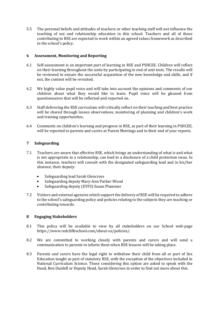5.5 The personal beliefs and attitudes of teachers or other teaching staff will not influence the teaching of sex and relationship education in this school. Teachers and all of those contributing to RSE are expected to work within an agreed values framework as described in the school's policy.

#### **6 Assessment, Monitoring and Reporting**

- 6.1 Self-assessment is an important part of learning in RSE and PSHCEE. Children will reflect on their learning throughout the units by participating in end of unit tests. The results will be reviewed to ensure the successful acquisition of the new knowledge and skills, and if not, the content will be revisited.
- 6.2 We highly value pupil voice and will take into account the opinions and comments of our children about what they would like to learn. Pupil voice will be gleaned from questionnaires that will be reflected and reported on.
- 6.3 Staff delivering the RSE curriculum will critically reflect on their teaching and best practice will be shared through lesson observations, monitoring of planning and children's work and training opportunities.
- 6.4 Comments on children's learning and progress in RSE, as part of their learning in PSHCEE, will be reported to parents and carers at Parent Meetings and in their end of year reports.

## **7 Safeguarding**

- 7.1 Teachers are aware that effective RSE, which brings an understanding of what is and what is not appropriate in a relationship, can lead to a disclosure of a child protection issue. In this instance, teachers will consult with the designated safeguarding lead and in his/her absence, their deputy:
	- Safeguarding lead Sarah Glencross
	- Safeguarding deputy Mary-Ann Parker-Wood
	- Safeguarding deputy (EYFS) Susan Plummer
- 7.2 Visitors and external agencies which support the delivery of RSE will be required to adhere to the school's safeguarding policy and policies relating to the subjects they are teaching or contributing towards.

#### **8 Engaging Stakeholders**

- 8.1 This policy will be available to view by all stakeholders on our School web-page https://www.redcliffeschool.com/about-us/policies/.
- 8.2 We are committed to working closely with parents and carers and will send a communication to parents to inform them when RSE lessons will be taking place.
- 8.3 Parents and carers have the legal right to withdraw their child from all or part of Sex Education taught as part of statutory RSE, with the exception of the objectives included in National Curriculum Science. Those considering this option are asked to speak with the Head, Ben Dunhill or Deputy Head, Sarah Glencross in order to find out more about this.